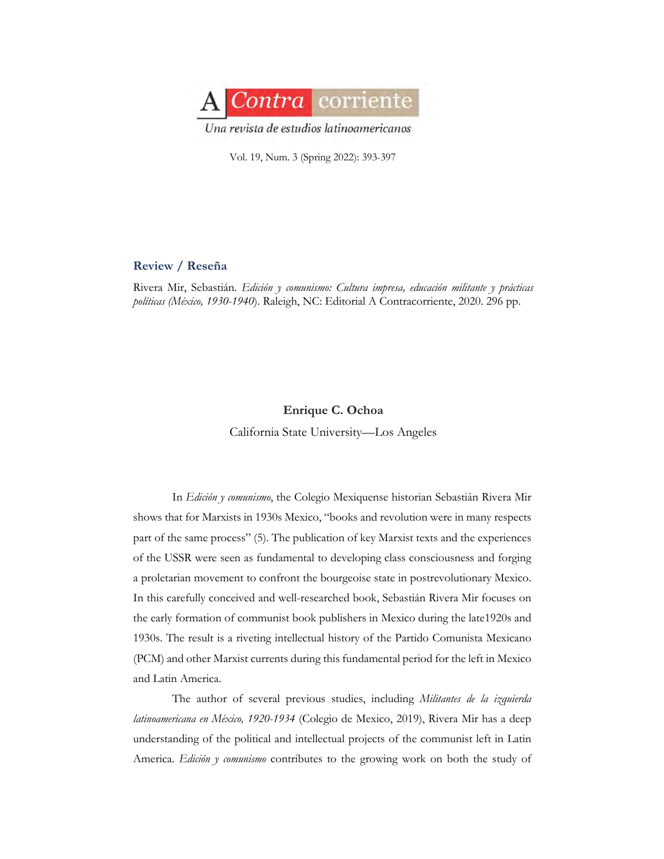

Vol. 19, Num. 3 (Spring 2022): 393-397

## **Review / Reseña**

Rivera Mir, Sebastián. *Edición y comunismo: Cultura impresa, educación militante y prácticas políticas (México, 1930-1940*). Raleigh, NC: Editorial A Contracorriente, 2020. 296 pp.

## **Enrique C. Ochoa**

California State University—Los Angeles

In *Edición y comunismo*, the Colegio Mexiquense historian Sebastián Rivera Mir shows that for Marxists in 1930s Mexico, "books and revolution were in many respects part of the same process" (5). The publication of key Marxist texts and the experiences of the USSR were seen as fundamental to developing class consciousness and forging a proletarian movement to confront the bourgeoise state in postrevolutionary Mexico. In this carefully conceived and well-researched book, Sebastián Rivera Mir focuses on the early formation of communist book publishers in Mexico during the late1920s and 1930s. The result is a riveting intellectual history of the Partido Comunista Mexicano (PCM) and other Marxist currents during this fundamental period for the left in Mexico and Latin America.

The author of several previous studies, including *Militantes de la izquierda latinoamericana en México, 1920-1934* (Colegio de Mexico, 2019), Rivera Mir has a deep understanding of the political and intellectual projects of the communist left in Latin America. *Edición y comunismo* contributes to the growing work on both the study of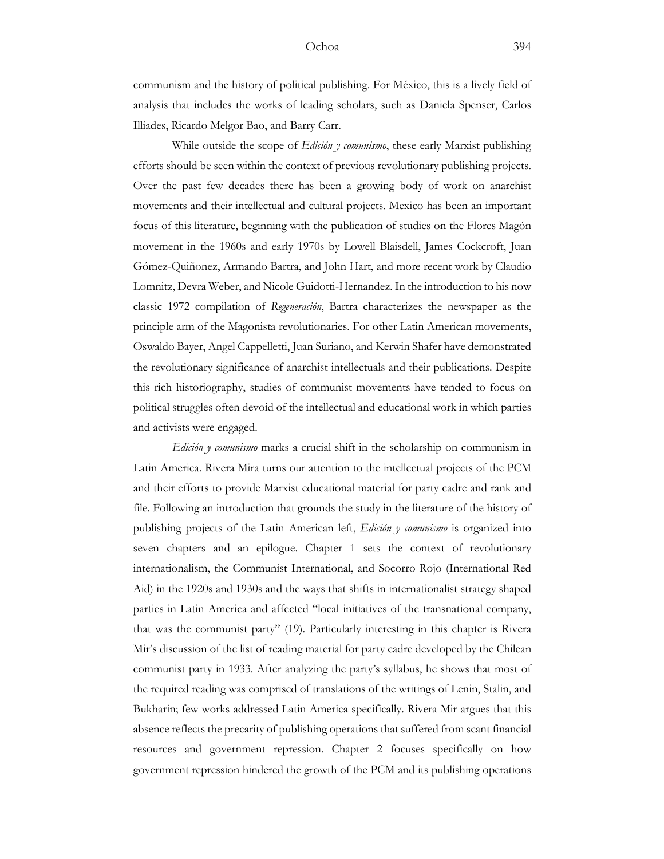## Ochoa 394

While outside the scope of *Edición y comunismo*, these early Marxist publishing efforts should be seen within the context of previous revolutionary publishing projects. Over the past few decades there has been a growing body of work on anarchist movements and their intellectual and cultural projects. Mexico has been an important focus of this literature, beginning with the publication of studies on the Flores Magón movement in the 1960s and early 1970s by Lowell Blaisdell, James Cockcroft, Juan Gómez-Quiñonez, Armando Bartra, and John Hart, and more recent work by Claudio Lomnitz, Devra Weber, and Nicole Guidotti-Hernandez. In the introduction to his now classic 1972 compilation of *Regeneración*, Bartra characterizes the newspaper as the principle arm of the Magonista revolutionaries. For other Latin American movements, Oswaldo Bayer, Angel Cappelletti, Juan Suriano, and Kerwin Shafer have demonstrated the revolutionary significance of anarchist intellectuals and their publications. Despite this rich historiography, studies of communist movements have tended to focus on political struggles often devoid of the intellectual and educational work in which parties and activists were engaged.

*Edición y comunismo* marks a crucial shift in the scholarship on communism in Latin America. Rivera Mira turns our attention to the intellectual projects of the PCM and their efforts to provide Marxist educational material for party cadre and rank and file. Following an introduction that grounds the study in the literature of the history of publishing projects of the Latin American left, *Edición y comunismo* is organized into seven chapters and an epilogue. Chapter 1 sets the context of revolutionary internationalism, the Communist International, and Socorro Rojo (International Red Aid) in the 1920s and 1930s and the ways that shifts in internationalist strategy shaped parties in Latin America and affected "local initiatives of the transnational company, that was the communist party" (19). Particularly interesting in this chapter is Rivera Mir's discussion of the list of reading material for party cadre developed by the Chilean communist party in 1933. After analyzing the party's syllabus, he shows that most of the required reading was comprised of translations of the writings of Lenin, Stalin, and Bukharin; few works addressed Latin America specifically. Rivera Mir argues that this absence reflects the precarity of publishing operations that suffered from scant financial resources and government repression. Chapter 2 focuses specifically on how government repression hindered the growth of the PCM and its publishing operations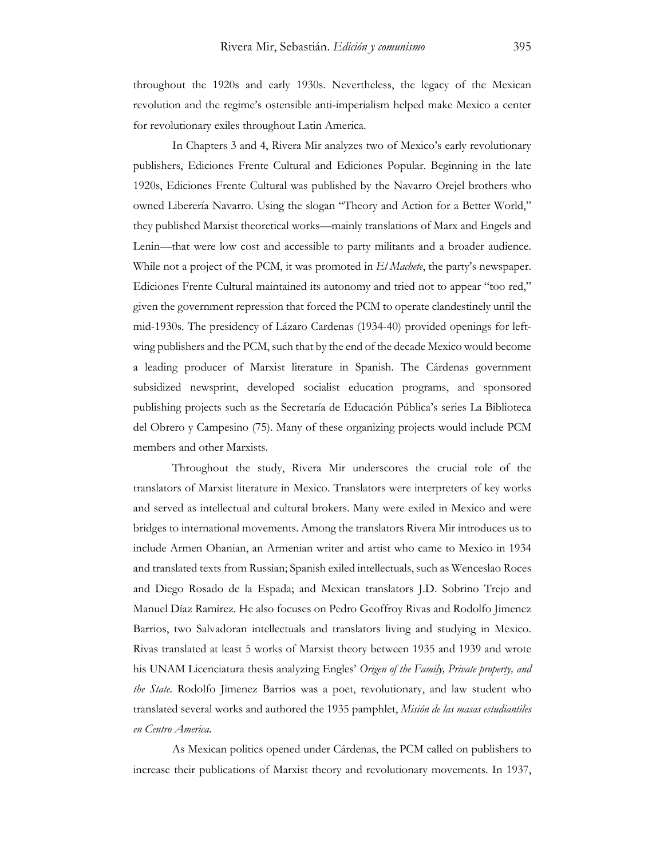throughout the 1920s and early 1930s. Nevertheless, the legacy of the Mexican revolution and the regime's ostensible anti-imperialism helped make Mexico a center for revolutionary exiles throughout Latin America.

In Chapters 3 and 4, Rivera Mir analyzes two of Mexico's early revolutionary publishers, Ediciones Frente Cultural and Ediciones Popular. Beginning in the late 1920s, Ediciones Frente Cultural was published by the Navarro Orejel brothers who owned Liberería Navarro. Using the slogan "Theory and Action for a Better World," they published Marxist theoretical works—mainly translations of Marx and Engels and Lenin—that were low cost and accessible to party militants and a broader audience. While not a project of the PCM, it was promoted in *El Machete*, the party's newspaper. Ediciones Frente Cultural maintained its autonomy and tried not to appear "too red," given the government repression that forced the PCM to operate clandestinely until the mid-1930s. The presidency of Lázaro Cardenas (1934-40) provided openings for leftwing publishers and the PCM, such that by the end of the decade Mexico would become a leading producer of Marxist literature in Spanish. The Cárdenas government subsidized newsprint, developed socialist education programs, and sponsored publishing projects such as the Secretaría de Educación Pública's series La Biblioteca del Obrero y Campesino (75). Many of these organizing projects would include PCM members and other Marxists.

Throughout the study, Rivera Mir underscores the crucial role of the translators of Marxist literature in Mexico. Translators were interpreters of key works and served as intellectual and cultural brokers. Many were exiled in Mexico and were bridges to international movements. Among the translators Rivera Mir introduces us to include Armen Ohanian, an Armenian writer and artist who came to Mexico in 1934 and translated texts from Russian; Spanish exiled intellectuals, such as Wenceslao Roces and Diego Rosado de la Espada; and Mexican translators J.D. Sobrino Trejo and Manuel Díaz Ramírez. He also focuses on Pedro Geoffroy Rivas and Rodolfo Jimenez Barrios, two Salvadoran intellectuals and translators living and studying in Mexico. Rivas translated at least 5 works of Marxist theory between 1935 and 1939 and wrote his UNAM Licenciatura thesis analyzing Engles' *Origen of the Family, Private property, and the State*. Rodolfo Jimenez Barrios was a poet, revolutionary, and law student who translated several works and authored the 1935 pamphlet, *Misión de las masas estudiantiles en Centro America*.

As Mexican politics opened under Cárdenas, the PCM called on publishers to increase their publications of Marxist theory and revolutionary movements. In 1937,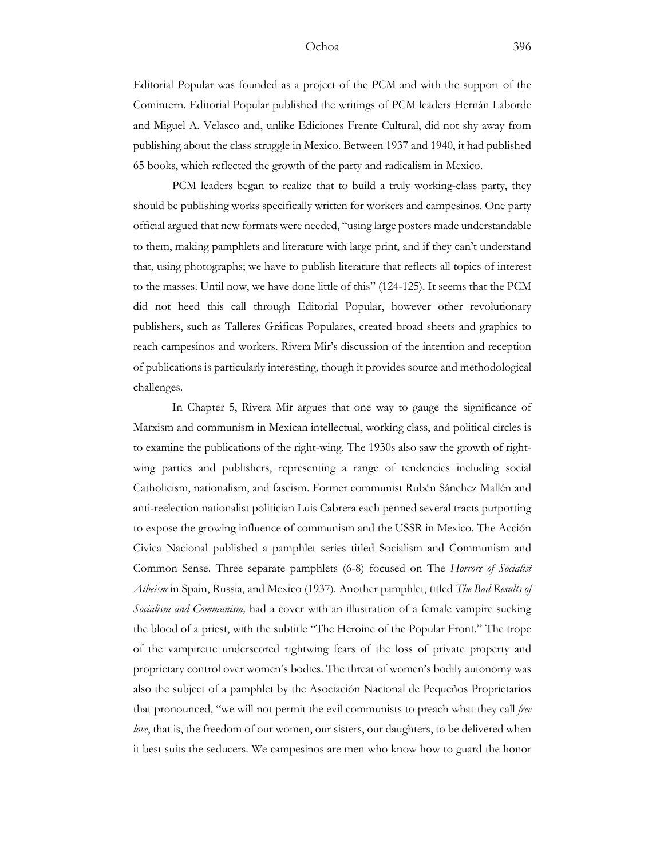## Ochoa 396

Editorial Popular was founded as a project of the PCM and with the support of the Comintern. Editorial Popular published the writings of PCM leaders Hernán Laborde and Miguel A. Velasco and, unlike Ediciones Frente Cultural, did not shy away from publishing about the class struggle in Mexico. Between 1937 and 1940, it had published 65 books, which reflected the growth of the party and radicalism in Mexico.

PCM leaders began to realize that to build a truly working-class party, they should be publishing works specifically written for workers and campesinos. One party official argued that new formats were needed, "using large posters made understandable to them, making pamphlets and literature with large print, and if they can't understand that, using photographs; we have to publish literature that reflects all topics of interest to the masses. Until now, we have done little of this" (124-125). It seems that the PCM did not heed this call through Editorial Popular, however other revolutionary publishers, such as Talleres Gráficas Populares, created broad sheets and graphics to reach campesinos and workers. Rivera Mir's discussion of the intention and reception of publications is particularly interesting, though it provides source and methodological challenges.

In Chapter 5, Rivera Mir argues that one way to gauge the significance of Marxism and communism in Mexican intellectual, working class, and political circles is to examine the publications of the right-wing. The 1930s also saw the growth of rightwing parties and publishers, representing a range of tendencies including social Catholicism, nationalism, and fascism. Former communist Rubén Sánchez Mallén and anti-reelection nationalist politician Luis Cabrera each penned several tracts purporting to expose the growing influence of communism and the USSR in Mexico. The Acción Civica Nacional published a pamphlet series titled Socialism and Communism and Common Sense. Three separate pamphlets (6-8) focused on The *Horrors of Socialist Atheism* in Spain, Russia, and Mexico (1937). Another pamphlet, titled *The Bad Results of Socialism and Communism,* had a cover with an illustration of a female vampire sucking the blood of a priest, with the subtitle "The Heroine of the Popular Front." The trope of the vampirette underscored rightwing fears of the loss of private property and proprietary control over women's bodies. The threat of women's bodily autonomy was also the subject of a pamphlet by the Asociación Nacional de Pequeños Proprietarios that pronounced, "we will not permit the evil communists to preach what they call *free love*, that is, the freedom of our women, our sisters, our daughters, to be delivered when it best suits the seducers. We campesinos are men who know how to guard the honor